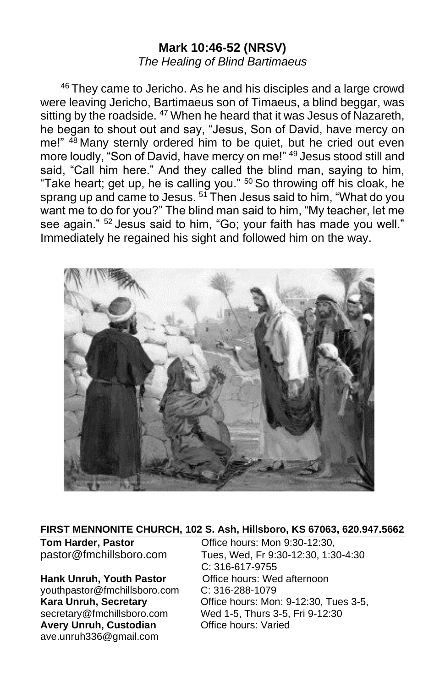# **Mark 10:46-52 (NRSV)** *The Healing of Blind Bartimaeus*

<sup>46</sup> They came to Jericho. As he and his disciples and a large crowd were leaving Jericho, Bartimaeus son of Timaeus, a blind beggar, was sitting by the roadside. <sup>47</sup> When he heard that it was Jesus of Nazareth, he began to shout out and say, "Jesus, Son of David, have mercy on me!" 48 Many sternly ordered him to be quiet, but he cried out even more loudly, "Son of David, have mercy on me!" <sup>49</sup> Jesus stood still and said, "Call him here." And they called the blind man, saying to him, "Take heart; get up, he is calling you." <sup>50</sup> So throwing off his cloak, he sprang up and came to Jesus. <sup>51</sup> Then Jesus said to him, "What do you want me to do for you?" The blind man said to him, "My teacher, let me see again." <sup>52</sup> Jesus said to him, "Go; your faith has made you well." Immediately he regained his sight and followed him on the way.



#### **FIRST MENNONITE CHURCH, 102 S. Ash, Hillsboro, KS 67063, 620.947.5662**

[youthpastor@fmchillsboro.com](mailto:youthpastor@fmchillsboro.com) C: 316-288-1079 Avery Unruh, Custodian **Office hours: Varied** ave.unruh336@gmail.com

**Tom Harder, Pastor Conservery Conservery Conservery Particle hours:** Mon 9:30-12:30, pastor@fmchillsboro.com Tues, Wed, Fr 9:30-12:30, 1:30-4:30 C: 316-617-9755 **Hank Unruh, Youth Pastor** Office hours: Wed afternoon **Kara Unruh, Secretary Character Constructs: Mon: 9-12:30, Tues 3-5,** secretary@fmchillsboro.com Wed 1-5, Thurs 3-5, Fri 9-12:30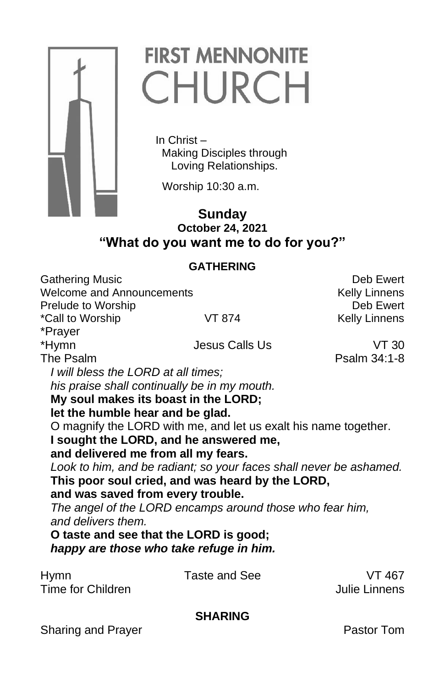

# **FIRST MENNONITE** CHURCH

 In Christ – Making Disciples through Loving Relationships.

Worship 10:30 a.m.

# **Sunday October 24, 2021 "What do you want me to do for you?"**

## **GATHERING**

Gathering Music **Deb Ewert** Welcome and Announcements The Communication of the Kelly Linnens Prelude to Worship **Deb** Ewert \*Call to Worship **VT 874** Kelly Linnens \*Prayer \*Hymn Jesus Calls Us VT 30 The Psalm Psalm 34:1-8 *I will bless the LORD at all times; his praise shall continually be in my mouth.* **My soul makes its boast in the LORD; let the humble hear and be glad.** O magnify the LORD with me, and let us exalt his name together. **I sought the LORD, and he answered me, and delivered me from all my fears.** *Look to him, and be radiant; so your faces shall never be ashamed.* **This poor soul cried, and was heard by the LORD, and was saved from every trouble.** *The angel of the LORD encamps around those who fear him, and delivers them.* **O taste and see that the LORD is good;**  *happy are those who take refuge in him.* Hymn Taste and See VT 467 Time for Children **Julie Linnens SHARING** Sharing and Prayer **Pastor Tom**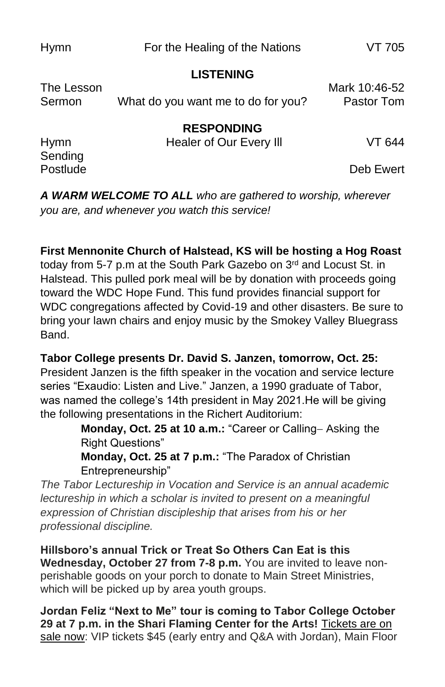Hymn For the Healing of the Nations VT 705

#### **LISTENING**

| The Lesson<br>Sermon   | What do you want me to do for you?           | Mark 10:46-52<br>Pastor Tom |
|------------------------|----------------------------------------------|-----------------------------|
| <b>Hymn</b><br>Sending | <b>RESPONDING</b><br>Healer of Our Every III | VT 644                      |

Postlude Deb Ewert

*A WARM WELCOME TO ALL who are gathered to worship, wherever you are, and whenever you watch this service!*

## **First Mennonite Church of Halstead, KS will be hosting a Hog Roast**

today from 5-7 p.m at the South Park Gazebo on 3rd and Locust St. in Halstead. This pulled pork meal will be by donation with proceeds going toward the WDC Hope Fund. This fund provides financial support for WDC congregations affected by Covid-19 and other disasters. Be sure to bring your lawn chairs and enjoy music by the Smokey Valley Bluegrass Band.

#### **Tabor College presents Dr. David S. Janzen, tomorrow, Oct. 25:**

President Janzen is the fifth speaker in the vocation and service lecture series "Exaudio: Listen and Live." Janzen, a 1990 graduate of Tabor, was named the college's 14th president in May 2021.He will be giving the following presentations in the Richert Auditorium:

> **Monday, Oct. 25 at 10 a.m.:** "Career or Calling− Asking the Right Questions"

**Monday, Oct. 25 at 7 p.m.:** "The Paradox of Christian Entrepreneurship"

*The Tabor Lectureship in Vocation and Service is an annual academic lectureship in which a scholar is invited to present on a meaningful expression of Christian discipleship that arises from his or her professional discipline.*

**Hillsboro's annual Trick or Treat So Others Can Eat is this Wednesday, October 27 from 7-8 p.m.** You are invited to leave nonperishable goods on your porch to donate to Main Street Ministries, which will be picked up by area youth groups.

**Jordan Feliz "Next to Me" tour is coming to Tabor College October 29 at 7 p.m. in the Shari Flaming Center for the Arts!** [Tickets are on](https://tabor.universitytickets.com/w/event.aspx?id=1523&r=ad091ac1ff3a49beab299adb20854950)  [sale now:](https://tabor.universitytickets.com/w/event.aspx?id=1523&r=ad091ac1ff3a49beab299adb20854950) VIP tickets \$45 (early entry and Q&A with Jordan), Main Floor